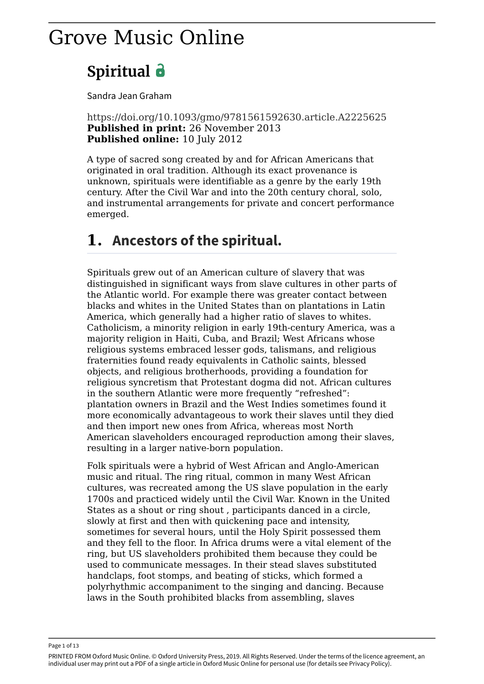# Grove Music Online

# **Spiritual**

Sandra Jean Graham

https://doi.org/10.1093/gmo/9781561592630.article.A2225625 **Published in print:** 26 November 2013 **Published online:** 10 July 2012

A type of sacred song created by and for African Americans that originated in oral tradition. Although its exact provenance is unknown, spirituals were identifiable as a genre by the early 19th century. After the Civil War and into the 20th century choral, solo, and instrumental arrangements for private and concert performance emerged.

## **1. Ancestors of the spiritual.**

Spirituals grew out of an American culture of slavery that was distinguished in significant ways from slave cultures in other parts of the Atlantic world. For example there was greater contact between blacks and whites in the United States than on plantations in Latin America, which generally had a higher ratio of slaves to whites. Catholicism, a minority religion in early 19th-century America, was a majority religion in Haiti, Cuba, and Brazil; West Africans whose religious systems embraced lesser gods, talismans, and religious fraternities found ready equivalents in Catholic saints, blessed objects, and religious brotherhoods, providing a foundation for religious syncretism that Protestant dogma did not. African cultures in the southern Atlantic were more frequently "refreshed": plantation owners in Brazil and the West Indies sometimes found it more economically advantageous to work their slaves until they died and then import new ones from Africa, whereas most North American slaveholders encouraged reproduction among their slaves, resulting in a larger native-born population.

Folk spirituals were a hybrid of West African and Anglo-American music and ritual. The ring ritual, common in many West African cultures, was recreated among the US slave population in the early 1700s and practiced widely until the Civil War. Known in the United States as a shout or ring shout , participants danced in a circle, slowly at first and then with quickening pace and intensity, sometimes for several hours, until the Holy Spirit possessed them and they fell to the floor. In Africa drums were a vital element of the ring, but US slaveholders prohibited them because they could be used to communicate messages. In their stead slaves substituted handclaps, foot stomps, and beating of sticks, which formed a polyrhythmic accompaniment to the singing and dancing. Because laws in the South prohibited blacks from assembling, slaves

Page 1 of 13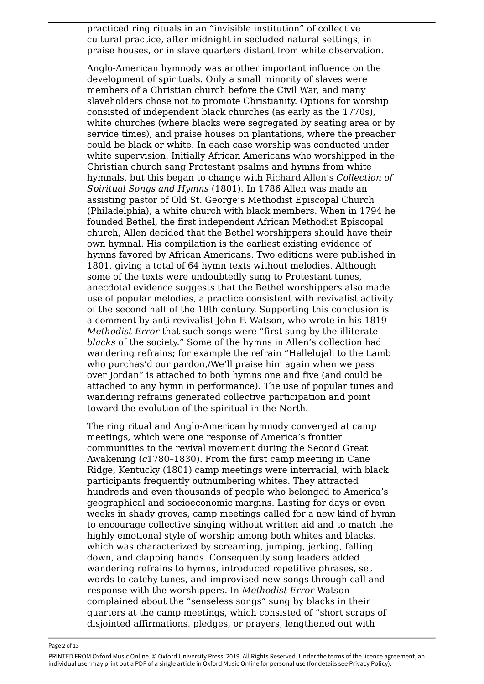practiced ring rituals in an "invisible institution" of collective cultural practice, after midnight in secluded natural settings, in praise houses, or in slave quarters distant from white observation.

Anglo-American hymnody was another important influence on the development of spirituals. Only a small minority of slaves were members of a Christian church before the Civil War, and many slaveholders chose not to promote Christianity. Options for worship consisted of independent black churches (as early as the 1770s), white churches (where blacks were segregated by seating area or by service times), and praise houses on plantations, where the preacher could be black or white. In each case worship was conducted under white supervision. Initially African Americans who worshipped in the Christian church sang Protestant psalms and hymns from white hymnals, but this began to change with Richard Allen's *Collection of Spiritual Songs and Hymns* (1801). In 1786 Allen was made an assisting pastor of Old St. George's Methodist Episcopal Church (Philadelphia), a white church with black members. When in 1794 he founded Bethel, the first independent African Methodist Episcopal church, Allen decided that the Bethel worshippers should have their own hymnal. His compilation is the earliest existing evidence of hymns favored by African Americans. Two editions were published in 1801, giving a total of 64 hymn texts without melodies. Although some of the texts were undoubtedly sung to Protestant tunes, anecdotal evidence suggests that the Bethel worshippers also made use of popular melodies, a practice consistent with revivalist activity of the second half of the 18th century. Supporting this conclusion is a comment by anti-revivalist John F. Watson, who wrote in his 1819 *Methodist Error* that such songs were "first sung by the illiterate *blacks* of the society." Some of the hymns in Allen's collection had wandering refrains; for example the refrain "Hallelujah to the Lamb who purchas'd our pardon./We'll praise him again when we pass over Jordan" is attached to both hymns one and five (and could be attached to any hymn in performance). The use of popular tunes and wandering refrains generated collective participation and point toward the evolution of the spiritual in the North.

The ring ritual and Anglo-American hymnody converged at camp meetings, which were one response of America's frontier communities to the revival movement during the Second Great Awakening (*c*1780–1830). From the first camp meeting in Cane Ridge, Kentucky (1801) camp meetings were interracial, with black participants frequently outnumbering whites. They attracted hundreds and even thousands of people who belonged to America's geographical and socioeconomic margins. Lasting for days or even weeks in shady groves, camp meetings called for a new kind of hymn to encourage collective singing without written aid and to match the highly emotional style of worship among both whites and blacks, which was characterized by screaming, jumping, jerking, falling down, and clapping hands. Consequently song leaders added wandering refrains to hymns, introduced repetitive phrases, set words to catchy tunes, and improvised new songs through call and response with the worshippers. In *Methodist Error* Watson complained about the "senseless songs" sung by blacks in their quarters at the camp meetings, which consisted of "short scraps of disjointed affirmations, pledges, or prayers, lengthened out with

Page 2 of 13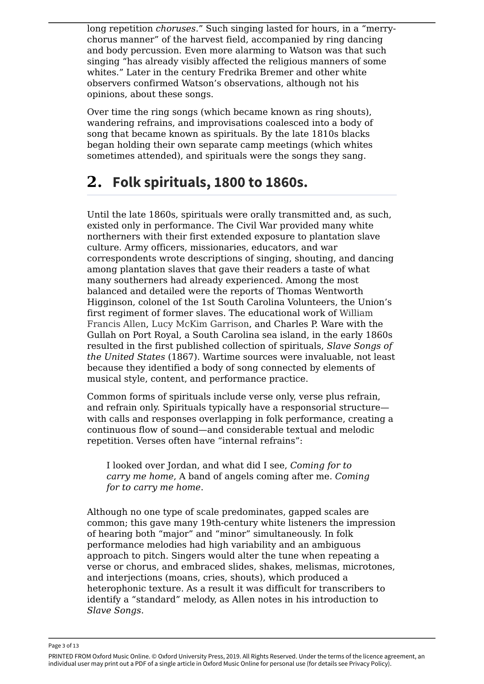long repetition *choruses*." Such singing lasted for hours, in a "merrychorus manner" of the harvest field, accompanied by ring dancing and body percussion. Even more alarming to Watson was that such singing "has already visibly affected the religious manners of some whites." Later in the century Fredrika Bremer and other white observers confirmed Watson's observations, although not his opinions, about these songs.

Over time the ring songs (which became known as ring shouts), wandering refrains, and improvisations coalesced into a body of song that became known as spirituals. By the late 1810s blacks began holding their own separate camp meetings (which whites sometimes attended), and spirituals were the songs they sang.

## **2. Folk spirituals, 1800 to 1860s.**

Until the late 1860s, spirituals were orally transmitted and, as such, existed only in performance. The Civil War provided many white northerners with their first extended exposure to plantation slave culture. Army officers, missionaries, educators, and war correspondents wrote descriptions of singing, shouting, and dancing among plantation slaves that gave their readers a taste of what many southerners had already experienced. Among the most balanced and detailed were the reports of Thomas Wentworth Higginson, colonel of the 1st South Carolina Volunteers, the Union's first regiment of former slaves. The educational work of William Francis Allen, Lucy McKim Garrison, and Charles P. Ware with the Gullah on Port Royal, a South Carolina sea island, in the early 1860s resulted in the first published collection of spirituals, *Slave Songs of the United States* (1867). Wartime sources were invaluable, not least because they identified a body of song connected by elements of musical style, content, and performance practice.

Common forms of spirituals include verse only, verse plus refrain, and refrain only. Spirituals typically have a responsorial structure with calls and responses overlapping in folk performance, creating a continuous flow of sound—and considerable textual and melodic repetition. Verses often have "internal refrains":

I looked over Jordan, and what did I see, *Coming for to carry me home*, A band of angels coming after me. *Coming for to carry me home*.

Although no one type of scale predominates, gapped scales are common; this gave many 19th-century white listeners the impression of hearing both "major" and "minor" simultaneously. In folk performance melodies had high variability and an ambiguous approach to pitch. Singers would alter the tune when repeating a verse or chorus, and embraced slides, shakes, melismas, microtones, and interjections (moans, cries, shouts), which produced a heterophonic texture. As a result it was difficult for transcribers to identify a "standard" melody, as Allen notes in his introduction to *Slave Songs*.

Page 3 of 13

PRINTED FROM Oxford Music Online. © Oxford University Press, 2019. All Rights Reserved. Under the terms of the licence agreement, an individual user may print out a PDF of a single article in Oxford Music Online for personal use (for details see Privacy Policy).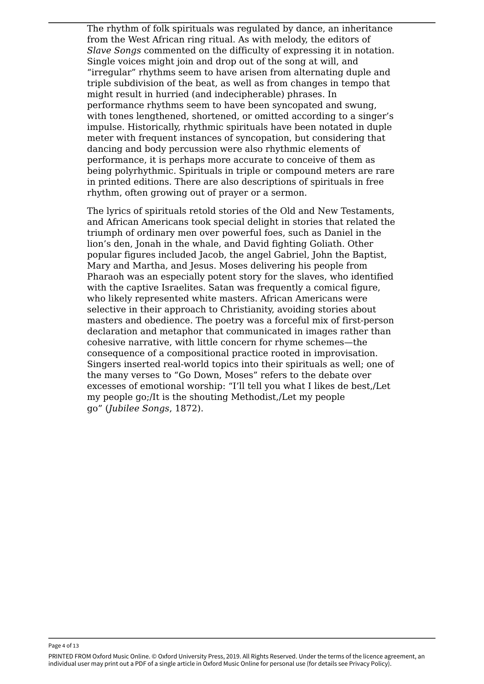The rhythm of folk spirituals was regulated by dance, an inheritance from the West African ring ritual. As with melody, the editors of *Slave Songs* commented on the difficulty of expressing it in notation. Single voices might join and drop out of the song at will, and "irregular" rhythms seem to have arisen from alternating duple and triple subdivision of the beat, as well as from changes in tempo that might result in hurried (and indecipherable) phrases. In performance rhythms seem to have been syncopated and swung, with tones lengthened, shortened, or omitted according to a singer's impulse. Historically, rhythmic spirituals have been notated in duple meter with frequent instances of syncopation, but considering that dancing and body percussion were also rhythmic elements of performance, it is perhaps more accurate to conceive of them as being polyrhythmic. Spirituals in triple or compound meters are rare in printed editions. There are also descriptions of spirituals in free rhythm, often growing out of prayer or a sermon.

The lyrics of spirituals retold stories of the Old and New Testaments, and African Americans took special delight in stories that related the triumph of ordinary men over powerful foes, such as Daniel in the lion's den, Jonah in the whale, and David fighting Goliath. Other popular figures included Jacob, the angel Gabriel, John the Baptist, Mary and Martha, and Jesus. Moses delivering his people from Pharaoh was an especially potent story for the slaves, who identified with the captive Israelites. Satan was frequently a comical figure, who likely represented white masters. African Americans were selective in their approach to Christianity, avoiding stories about masters and obedience. The poetry was a forceful mix of first-person declaration and metaphor that communicated in images rather than cohesive narrative, with little concern for rhyme schemes—the consequence of a compositional practice rooted in improvisation. Singers inserted real-world topics into their spirituals as well; one of the many verses to "Go Down, Moses" refers to the debate over excesses of emotional worship: "I'll tell you what I likes de best,/Let my people go;/It is the shouting Methodist,/Let my people go" (*Jubilee Songs*, 1872).

Page 4 of 13

PRINTED FROM Oxford Music Online. © Oxford University Press, 2019. All Rights Reserved. Under the terms of the licence agreement, an individual user may print out a PDF of a single article in Oxford Music Online for personal use (for details see Privacy Policy).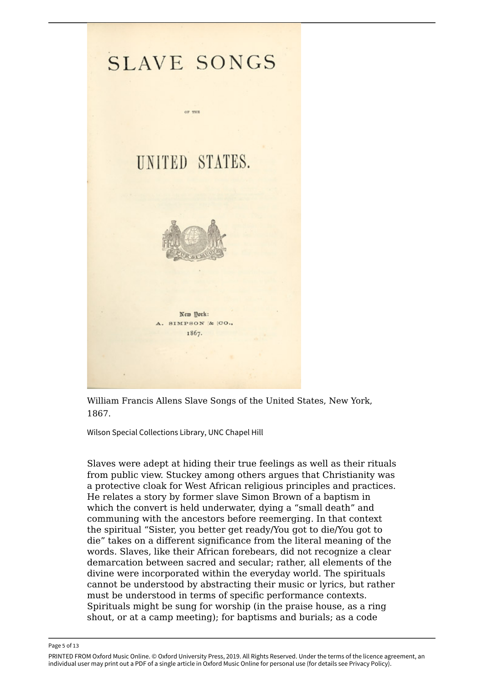

William Francis Allens Slave Songs of the United States, New York, 1867.

Wilson Special Collections Library, UNC Chapel Hill

Slaves were adept at hiding their true feelings as well as their rituals from public view. Stuckey among others argues that Christianity was a protective cloak for West African religious principles and practices. He relates a story by former slave Simon Brown of a baptism in which the convert is held underwater, dying a "small death" and communing with the ancestors before reemerging. In that context the spiritual "Sister, you better get ready/You got to die/You got to die" takes on a different significance from the literal meaning of the words. Slaves, like their African forebears, did not recognize a clear demarcation between sacred and secular; rather, all elements of the divine were incorporated within the everyday world. The spirituals cannot be understood by abstracting their music or lyrics, but rather must be understood in terms of specific performance contexts. Spirituals might be sung for worship (in the praise house, as a ring shout, or at a camp meeting); for baptisms and burials; as a code

Page 5 of 13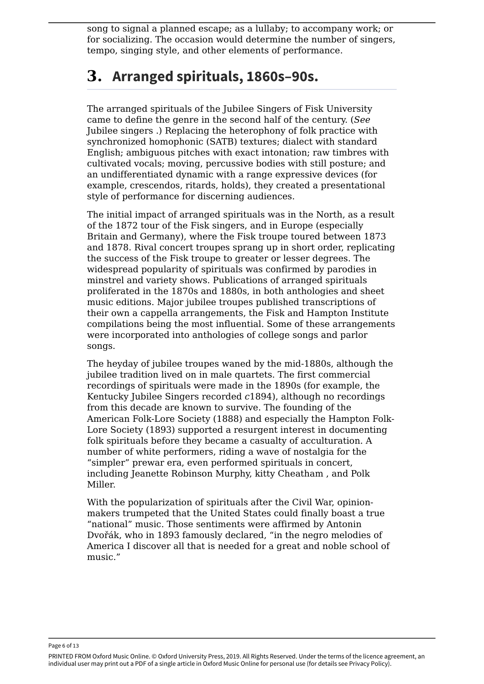song to signal a planned escape; as a lullaby; to accompany work; or for socializing. The occasion would determine the number of singers, tempo, singing style, and other elements of performance.

### **3. Arranged spirituals, 1860s–90s.**

The arranged spirituals of the Jubilee Singers of Fisk University came to define the genre in the second half of the century. (*See* Jubilee singers .) Replacing the heterophony of folk practice with synchronized homophonic (SATB) textures; dialect with standard English; ambiguous pitches with exact intonation; raw timbres with cultivated vocals; moving, percussive bodies with still posture; and an undifferentiated dynamic with a range expressive devices (for example, crescendos, ritards, holds), they created a presentational style of performance for discerning audiences.

The initial impact of arranged spirituals was in the North, as a result of the 1872 tour of the Fisk singers, and in Europe (especially Britain and Germany), where the Fisk troupe toured between 1873 and 1878. Rival concert troupes sprang up in short order, replicating the success of the Fisk troupe to greater or lesser degrees. The widespread popularity of spirituals was confirmed by parodies in minstrel and variety shows. Publications of arranged spirituals proliferated in the 1870s and 1880s, in both anthologies and sheet music editions. Major jubilee troupes published transcriptions of their own a cappella arrangements, the Fisk and Hampton Institute compilations being the most influential. Some of these arrangements were incorporated into anthologies of college songs and parlor songs.

The heyday of jubilee troupes waned by the mid-1880s, although the jubilee tradition lived on in male quartets. The first commercial recordings of spirituals were made in the 1890s (for example, the Kentucky Jubilee Singers recorded *c*1894), although no recordings from this decade are known to survive. The founding of the American Folk-Lore Society (1888) and especially the Hampton Folk-Lore Society (1893) supported a resurgent interest in documenting folk spirituals before they became a casualty of acculturation. A number of white performers, riding a wave of nostalgia for the "simpler" prewar era, even performed spirituals in concert, including Jeanette Robinson Murphy, kitty Cheatham , and Polk Miller.

With the popularization of spirituals after the Civil War, opinionmakers trumpeted that the United States could finally boast a true "national" music. Those sentiments were affirmed by Antonin Dvořák, who in 1893 famously declared, "in the negro melodies of America I discover all that is needed for a great and noble school of music."

Page 6 of 13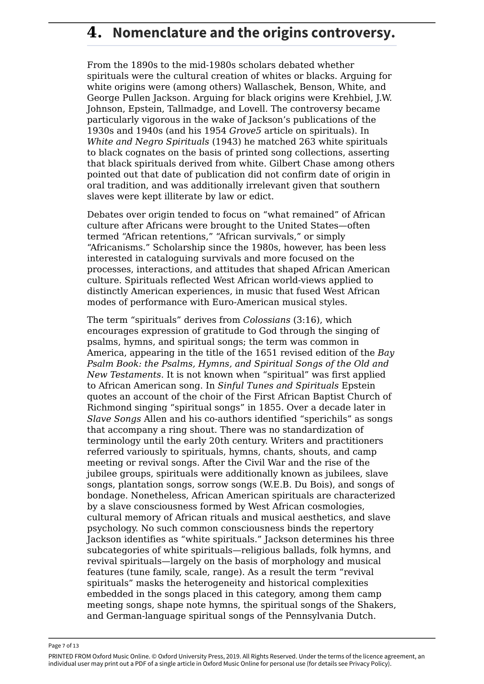#### **4. Nomenclature and the origins controversy.**

From the 1890s to the mid-1980s scholars debated whether spirituals were the cultural creation of whites or blacks. Arguing for white origins were (among others) Wallaschek, Benson, White, and George Pullen Jackson. Arguing for black origins were Krehbiel, J.W. Johnson, Epstein, Tallmadge, and Lovell. The controversy became particularly vigorous in the wake of Jackson's publications of the 1930s and 1940s (and his 1954 *Grove5* article on spirituals). In *White and Negro Spirituals* (1943) he matched 263 white spirituals to black cognates on the basis of printed song collections, asserting that black spirituals derived from white. Gilbert Chase among others pointed out that date of publication did not confirm date of origin in oral tradition, and was additionally irrelevant given that southern slaves were kept illiterate by law or edict.

Debates over origin tended to focus on "what remained" of African culture after Africans were brought to the United States—often termed "African retentions," "African survivals," or simply "Africanisms." Scholarship since the 1980s, however, has been less interested in cataloguing survivals and more focused on the processes, interactions, and attitudes that shaped African American culture. Spirituals reflected West African world-views applied to distinctly American experiences, in music that fused West African modes of performance with Euro-American musical styles.

The term "spirituals" derives from *Colossians* (3:16), which encourages expression of gratitude to God through the singing of psalms, hymns, and spiritual songs; the term was common in America, appearing in the title of the 1651 revised edition of the *Bay Psalm Book: the Psalms, Hymns, and Spiritual Songs of the Old and New Testaments*. It is not known when "spiritual" was first applied to African American song. In *Sinful Tunes and Spirituals* Epstein quotes an account of the choir of the First African Baptist Church of Richmond singing "spiritual songs" in 1855. Over a decade later in *Slave Songs* Allen and his co-authors identified "sperichils" as songs that accompany a ring shout. There was no standardization of terminology until the early 20th century. Writers and practitioners referred variously to spirituals, hymns, chants, shouts, and camp meeting or revival songs. After the Civil War and the rise of the jubilee groups, spirituals were additionally known as jubilees, slave songs, plantation songs, sorrow songs (W.E.B. Du Bois), and songs of bondage. Nonetheless, African American spirituals are characterized by a slave consciousness formed by West African cosmologies, cultural memory of African rituals and musical aesthetics, and slave psychology. No such common consciousness binds the repertory Jackson identifies as "white spirituals." Jackson determines his three subcategories of white spirituals—religious ballads, folk hymns, and revival spirituals—largely on the basis of morphology and musical features (tune family, scale, range). As a result the term "revival spirituals" masks the heterogeneity and historical complexities embedded in the songs placed in this category, among them camp meeting songs, shape note hymns, the spiritual songs of the Shakers, and German-language spiritual songs of the Pennsylvania Dutch.

Page 7 of 13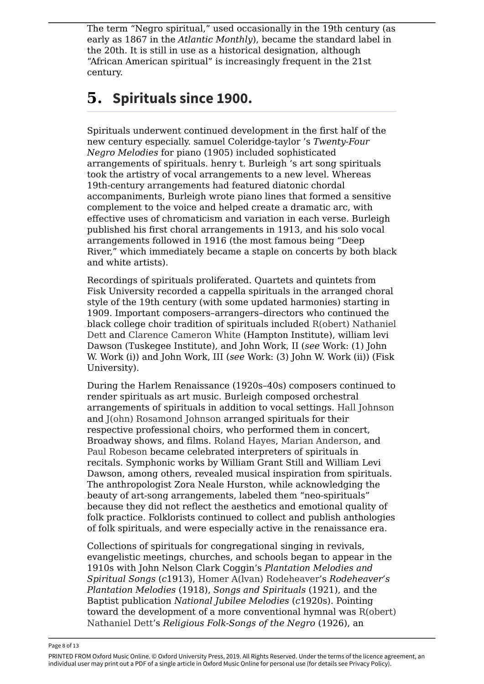The term "Negro spiritual," used occasionally in the 19th century (as early as 1867 in the *Atlantic Monthly*), became the standard label in the 20th. It is still in use as a historical designation, although "African American spiritual" is increasingly frequent in the 21st century.

### **5. Spirituals since 1900.**

Spirituals underwent continued development in the first half of the new century especially. samuel Coleridge-taylor 's *Twenty-Four Negro Melodies* for piano (1905) included sophisticated arrangements of spirituals. henry t. Burleigh 's art song spirituals took the artistry of vocal arrangements to a new level. Whereas 19th-century arrangements had featured diatonic chordal accompaniments, Burleigh wrote piano lines that formed a sensitive complement to the voice and helped create a dramatic arc, with effective uses of chromaticism and variation in each verse. Burleigh published his first choral arrangements in 1913, and his solo vocal arrangements followed in 1916 (the most famous being "Deep River," which immediately became a staple on concerts by both black and white artists).

Recordings of spirituals proliferated. Quartets and quintets from Fisk University recorded a cappella spirituals in the arranged choral style of the 19th century (with some updated harmonies) starting in 1909. Important composers–arrangers–directors who continued the black college choir tradition of spirituals included R(obert) Nathaniel Dett and Clarence Cameron White (Hampton Institute), william levi Dawson (Tuskegee Institute), and John Work, II (*see* Work: (1) John W. Work (i)) and John Work, III (*see* Work: (3) John W. Work (ii)) (Fisk University).

During the Harlem Renaissance (1920s–40s) composers continued to render spirituals as art music. Burleigh composed orchestral arrangements of spirituals in addition to vocal settings. Hall Johnson and J(ohn) Rosamond Johnson arranged spirituals for their respective professional choirs, who performed them in concert, Broadway shows, and films. Roland Hayes, Marian Anderson, and Paul Robeson became celebrated interpreters of spirituals in recitals. Symphonic works by William Grant Still and William Levi Dawson, among others, revealed musical inspiration from spirituals. The anthropologist Zora Neale Hurston, while acknowledging the beauty of art-song arrangements, labeled them "neo-spirituals" because they did not reflect the aesthetics and emotional quality of folk practice. Folklorists continued to collect and publish anthologies of folk spirituals, and were especially active in the renaissance era.

Collections of spirituals for congregational singing in revivals, evangelistic meetings, churches, and schools began to appear in the 1910s with John Nelson Clark Coggin's *Plantation Melodies and Spiritual Songs* (*c*1913), Homer A(lvan) Rodeheaver's *Rodeheaver's Plantation Melodies* (1918), *Songs and Spirituals* (1921), and the Baptist publication *National Jubilee Melodies* (*c*1920s). Pointing toward the development of a more conventional hymnal was R(obert) Nathaniel Dett's *Religious Folk-Songs of the Negro* (1926), an

Page 8 of 13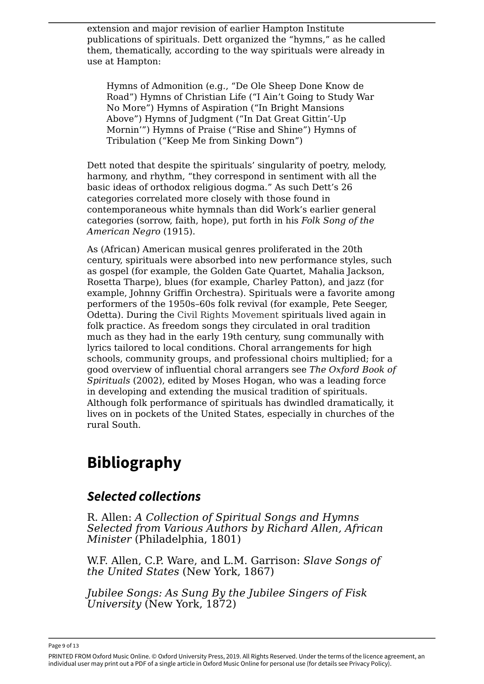extension and major revision of earlier Hampton Institute publications of spirituals. Dett organized the "hymns," as he called them, thematically, according to the way spirituals were already in use at Hampton:

Hymns of Admonition (e.g., "De Ole Sheep Done Know de Road") Hymns of Christian Life ("I Ain't Going to Study War No More") Hymns of Aspiration ("In Bright Mansions Above") Hymns of Judgment ("In Dat Great Gittin'-Up Mornin'") Hymns of Praise ("Rise and Shine") Hymns of Tribulation ("Keep Me from Sinking Down")

Dett noted that despite the spirituals' singularity of poetry, melody, harmony, and rhythm, "they correspond in sentiment with all the basic ideas of orthodox religious dogma." As such Dett's 26 categories correlated more closely with those found in contemporaneous white hymnals than did Work's earlier general categories (sorrow, faith, hope), put forth in his *Folk Song of the American Negro* (1915).

As (African) American musical genres proliferated in the 20th century, spirituals were absorbed into new performance styles, such as gospel (for example, the Golden Gate Quartet, Mahalia Jackson, Rosetta Tharpe), blues (for example, Charley Patton), and jazz (for example, Johnny Griffin Orchestra). Spirituals were a favorite among performers of the 1950s–60s folk revival (for example, Pete Seeger, Odetta). During the Civil Rights Movement spirituals lived again in folk practice. As freedom songs they circulated in oral tradition much as they had in the early 19th century, sung communally with lyrics tailored to local conditions. Choral arrangements for high schools, community groups, and professional choirs multiplied; for a good overview of influential choral arrangers see *The Oxford Book of Spirituals* (2002), edited by Moses Hogan, who was a leading force in developing and extending the musical tradition of spirituals. Although folk performance of spirituals has dwindled dramatically, it lives on in pockets of the United States, especially in churches of the rural South.

# **Bibliography**

#### *Selected collections*

R. Allen: *A Collection of Spiritual Songs and Hymns Selected from Various Authors by Richard Allen, African Minister* (Philadelphia, 1801)

W.F. Allen, C.P. Ware, and L.M. Garrison: *Slave Songs of the United States* (New York, 1867)

*Jubilee Songs: As Sung By the Jubilee Singers of Fisk University* (New York, 1872)

Page 9 of 13

PRINTED FROM Oxford Music Online. © Oxford University Press, 2019. All Rights Reserved. Under the terms of the licence agreement, an individual user may print out a PDF of a single article in Oxford Music Online for personal use (for details see Privacy Policy).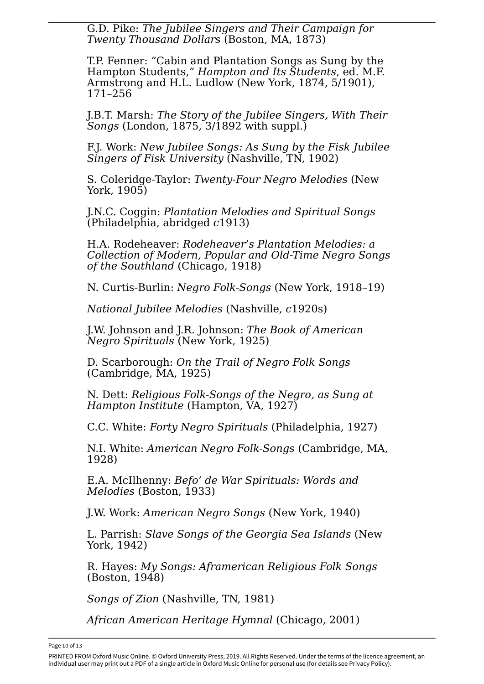G.D. Pike: *The Jubilee Singers and Their Campaign for Twenty Thousand Dollars* (Boston, MA, 1873)

T.P. Fenner: "Cabin and Plantation Songs as Sung by the Hampton Students," *Hampton and Its Students*, ed. M.F. Armstrong and H.L. Ludlow (New York, 1874, 5/1901), 171–256

J.B.T. Marsh: *The Story of the Jubilee Singers, With Their Songs* (London, 1875, 3/1892 with suppl.)

F.J. Work: *New Jubilee Songs: As Sung by the Fisk Jubilee Singers of Fisk University* (Nashville, TN, 1902)

S. Coleridge-Taylor: *Twenty-Four Negro Melodies* (New York, 1905)

J.N.C. Coggin: *Plantation Melodies and Spiritual Songs* (Philadelphia, abridged *c*1913)

H.A. Rodeheaver: *Rodeheaver's Plantation Melodies: a Collection of Modern, Popular and Old-Time Negro Songs of the Southland* (Chicago, 1918)

N. Curtis-Burlin: *Negro Folk-Songs* (New York, 1918–19)

*National Jubilee Melodies* (Nashville, *c*1920s)

J.W. Johnson and J.R. Johnson: *The Book of American Negro Spirituals* (New York, 1925)

D. Scarborough: *On the Trail of Negro Folk Songs* (Cambridge, MA, 1925)

N. Dett: *Religious Folk-Songs of the Negro, as Sung at Hampton Institute* (Hampton, VA, 1927)

C.C. White: *Forty Negro Spirituals* (Philadelphia, 1927)

N.I. White: *American Negro Folk-Songs* (Cambridge, MA, 1928)

E.A. McIlhenny: *Befo' de War Spirituals: Words and Melodies* (Boston, 1933)

J.W. Work: *American Negro Songs* (New York, 1940)

L. Parrish: *Slave Songs of the Georgia Sea Islands* (New York, 1942)

R. Hayes: *My Songs: Aframerican Religious Folk Songs* (Boston, 1948)

*Songs of Zion* (Nashville, TN, 1981)

*African American Heritage Hymnal* (Chicago, 2001)

Page 10 of 13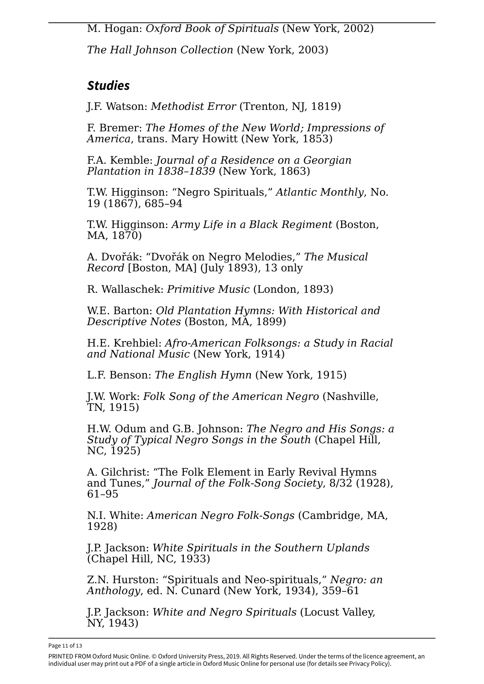M. Hogan: *Oxford Book of Spirituals* (New York, 2002)

*The Hall Johnson Collection* (New York, 2003)

#### *Studies*

J.F. Watson: *Methodist Error* (Trenton, NJ, 1819)

F. Bremer: *The Homes of the New World; Impressions of America*, trans. Mary Howitt (New York, 1853)

F.A. Kemble: *Journal of a Residence on a Georgian Plantation in 1838–1839* (New York, 1863)

T.W. Higginson: "Negro Spirituals," *Atlantic Monthly*, No. 19 (1867), 685–94

T.W. Higginson: *Army Life in a Black Regiment* (Boston, MA, 1870)

A. Dvořák: "Dvořák on Negro Melodies," *The Musical Record* [Boston, MA] (July 1893), 13 only

R. Wallaschek: *Primitive Music* (London, 1893)

W.E. Barton: *Old Plantation Hymns: With Historical and Descriptive Notes* (Boston, MA, 1899)

H.E. Krehbiel: *Afro-American Folksongs: a Study in Racial and National Music* (New York, 1914)

L.F. Benson: *The English Hymn* (New York, 1915)

J.W. Work: *Folk Song of the American Negro* (Nashville, TN, 1915)

H.W. Odum and G.B. Johnson: *The Negro and His Songs: a Study of Typical Negro Songs in the South* (Chapel Hill, NC, 1925)

A. Gilchrist: "The Folk Element in Early Revival Hymns and Tunes," *Journal of the Folk-Song Society*, 8/32 (1928), 61–95

N.I. White: *American Negro Folk-Songs* (Cambridge, MA, 1928)

J.P. Jackson: *White Spirituals in the Southern Uplands* (Chapel Hill, NC, 1933)

Z.N. Hurston: "Spirituals and Neo-spirituals," *Negro: an Anthology*, ed. N. Cunard (New York, 1934), 359–61

J.P. Jackson: *White and Negro Spirituals* (Locust Valley, NY, 1943)

Page 11 of 13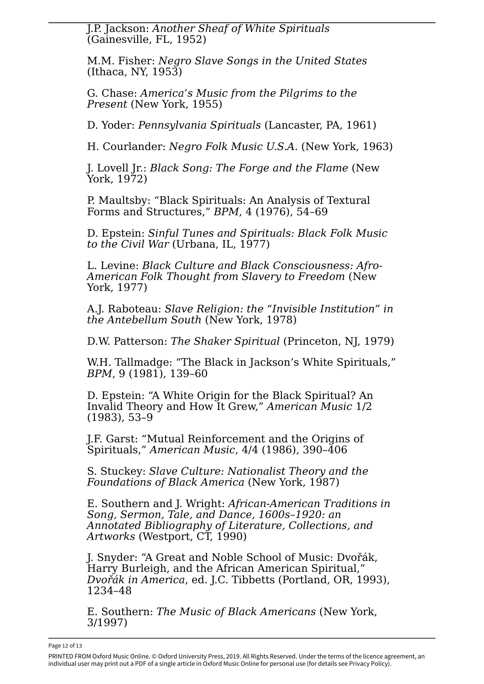J.P. Jackson: *Another Sheaf of White Spirituals* (Gainesville, FL, 1952)

M.M. Fisher: *Negro Slave Songs in the United States* (Ithaca, NY, 1953)

G. Chase: *America's Music from the Pilgrims to the Present* (New York, 1955)

D. Yoder: *Pennsylvania Spirituals* (Lancaster, PA, 1961)

H. Courlander: *Negro Folk Music U.S.A.* (New York, 1963)

J. Lovell Jr.: *Black Song: The Forge and the Flame* (New York, 1972)

P. Maultsby: "Black Spirituals: An Analysis of Textural Forms and Structures," *BPM*, 4 (1976), 54–69

D. Epstein: *Sinful Tunes and Spirituals: Black Folk Music to the Civil War* (Urbana, IL, 1977)

L. Levine: *Black Culture and Black Consciousness: Afro-American Folk Thought from Slavery to Freedom* (New York, 1977)

A.J. Raboteau: *Slave Religion: the "Invisible Institution" in the Antebellum South* (New York, 1978)

D.W. Patterson: *The Shaker Spiritual* (Princeton, NJ, 1979)

W.H. Tallmadge: "The Black in Jackson's White Spirituals," , 9 (1981), 139–60 *BPM*

D. Epstein: "A White Origin for the Black Spiritual? An Invalid Theory and How It Grew," *American Music* 1/2 (1983), 53–9

J.F. Garst: "Mutual Reinforcement and the Origins of Spirituals," *American Music*, 4/4 (1986), 390–406

S. Stuckey: *Slave Culture: Nationalist Theory and the Foundations of Black America* (New York, 1987)

E. Southern and J. Wright: *African-American Traditions in Song, Sermon, Tale, and Dance, 1600s–1920: an Annotated Bibliography of Literature, Collections, and Artworks* (Westport, CT, 1990)

J. Snyder: "A Great and Noble School of Music: Dvořák, Harry Burleigh, and the African American Spiritual," *Dvořák in America*, ed. J.C. Tibbetts (Portland, OR, 1993), 1234–48

E. Southern: *The Music of Black Americans* (New York, 3/1997)

Page 12 of 13